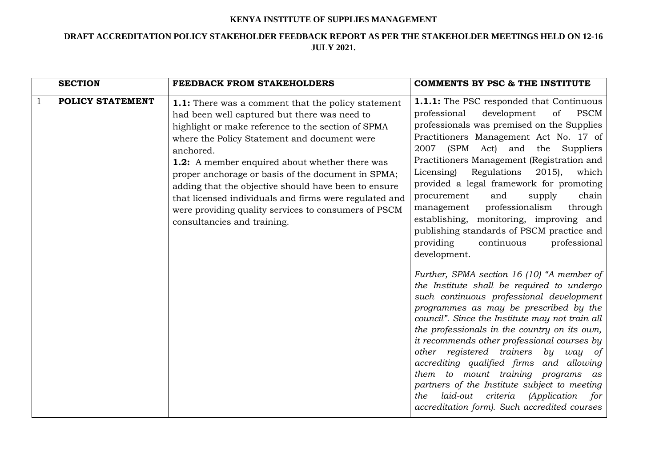## **KENYA INSTITUTE OF SUPPLIES MANAGEMENT**

## **DRAFT ACCREDITATION POLICY STAKEHOLDER FEEDBACK REPORT AS PER THE STAKEHOLDER MEETINGS HELD ON 12-16 JULY 2021.**

|              | <b>SECTION</b>          | FEEDBACK FROM STAKEHOLDERS                                                                                                                                                                                                                                                                                                                                                                                                                                                                                                                    | <b>COMMENTS BY PSC &amp; THE INSTITUTE</b>                                                                                                                                                                                                                                                                                                                                                                                                                                                                                                                                                                                                                                                                                                                                                                                                                                                                                                                                                                                                                                                                                                                                                                                                                   |
|--------------|-------------------------|-----------------------------------------------------------------------------------------------------------------------------------------------------------------------------------------------------------------------------------------------------------------------------------------------------------------------------------------------------------------------------------------------------------------------------------------------------------------------------------------------------------------------------------------------|--------------------------------------------------------------------------------------------------------------------------------------------------------------------------------------------------------------------------------------------------------------------------------------------------------------------------------------------------------------------------------------------------------------------------------------------------------------------------------------------------------------------------------------------------------------------------------------------------------------------------------------------------------------------------------------------------------------------------------------------------------------------------------------------------------------------------------------------------------------------------------------------------------------------------------------------------------------------------------------------------------------------------------------------------------------------------------------------------------------------------------------------------------------------------------------------------------------------------------------------------------------|
| $\mathbf{1}$ | <b>POLICY STATEMENT</b> | 1.1: There was a comment that the policy statement<br>had been well captured but there was need to<br>highlight or make reference to the section of SPMA<br>where the Policy Statement and document were<br>anchored.<br><b>1.2:</b> A member enquired about whether there was<br>proper anchorage or basis of the document in SPMA;<br>adding that the objective should have been to ensure<br>that licensed individuals and firms were regulated and<br>were providing quality services to consumers of PSCM<br>consultancies and training. | <b>1.1.1:</b> The PSC responded that Continuous<br>development<br><b>PSCM</b><br>professional<br>of<br>professionals was premised on the Supplies<br>Practitioners Management Act No. 17 of<br>(SPM<br>2007<br>Act)<br>and<br>the<br>Suppliers<br>Practitioners Management (Registration and<br>Regulations<br>$2015$ ,<br>which<br>Licensing)<br>provided a legal framework for promoting<br>and<br>chain<br>supply<br>procurement<br>professionalism<br>through<br>management<br>establishing, monitoring, improving and<br>publishing standards of PSCM practice and<br>providing<br>continuous<br>professional<br>development.<br>Further, SPMA section 16 (10) "A member of<br>the Institute shall be required to undergo<br>such continuous professional development<br>programmes as may be prescribed by the<br>council". Since the Institute may not train all<br>the professionals in the country on its own,<br>it recommends other professional courses by<br>other registered trainers by<br>way of<br>accrediting qualified firms and allowing<br>them to mount training programs as<br>partners of the Institute subject to meeting<br>laid-out criteria<br><i>(Application</i><br>for<br>the<br>accreditation form). Such accredited courses |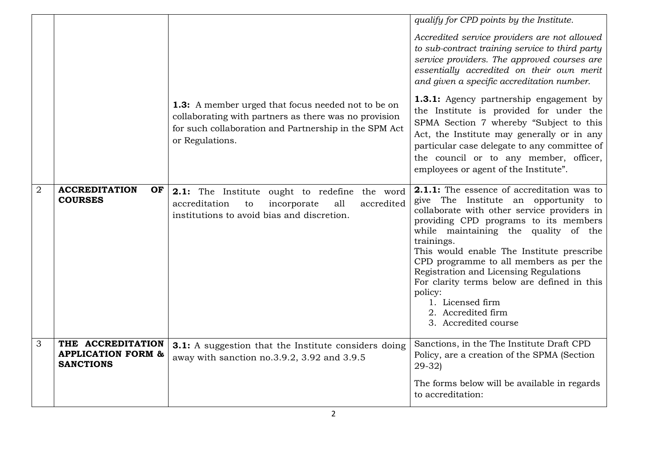|                |                                                                        | <b>1.3:</b> A member urged that focus needed not to be on<br>collaborating with partners as there was no provision<br>for such collaboration and Partnership in the SPM Act<br>or Regulations. | qualify for CPD points by the Institute.<br>Accredited service providers are not allowed<br>to sub-contract training service to third party<br>service providers. The approved courses are<br>essentially accredited on their own merit<br>and given a specific accreditation number.<br><b>1.3.1:</b> Agency partnership engagement by<br>the Institute is provided for under the<br>SPMA Section 7 whereby "Subject to this<br>Act, the Institute may generally or in any<br>particular case delegate to any committee of<br>the council or to any member, officer,<br>employees or agent of the Institute". |
|----------------|------------------------------------------------------------------------|------------------------------------------------------------------------------------------------------------------------------------------------------------------------------------------------|----------------------------------------------------------------------------------------------------------------------------------------------------------------------------------------------------------------------------------------------------------------------------------------------------------------------------------------------------------------------------------------------------------------------------------------------------------------------------------------------------------------------------------------------------------------------------------------------------------------|
| $\overline{2}$ | <b>ACCREDITATION</b><br>OF<br><b>COURSES</b>                           | 2.1: The Institute ought to redefine the word<br>accreditation<br>incorporate<br>all<br>accredited<br>to<br>institutions to avoid bias and discretion.                                         | <b>2.1.1:</b> The essence of accreditation was to<br>give The Institute an opportunity to<br>collaborate with other service providers in<br>providing CPD programs to its members<br>while maintaining the quality of the<br>trainings.<br>This would enable The Institute prescribe<br>CPD programme to all members as per the<br>Registration and Licensing Regulations<br>For clarity terms below are defined in this<br>policy:<br>1. Licensed firm<br>2. Accredited firm<br>3. Accredited course                                                                                                          |
| 3              | THE ACCREDITATION<br><b>APPLICATION FORM &amp;</b><br><b>SANCTIONS</b> | <b>3.1:</b> A suggestion that the Institute considers doing<br>away with sanction no.3.9.2, 3.92 and 3.9.5                                                                                     | Sanctions, in the The Institute Draft CPD<br>Policy, are a creation of the SPMA (Section<br>$29-32$<br>The forms below will be available in regards<br>to accreditation:                                                                                                                                                                                                                                                                                                                                                                                                                                       |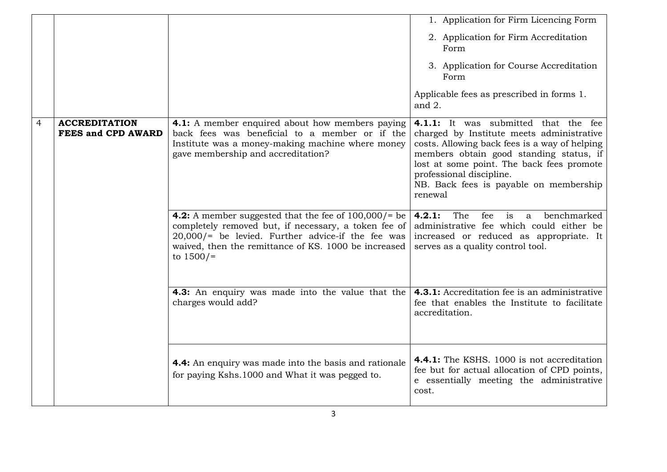|   |                                                   |                                                                                                                                                                                                                                                        | 1. Application for Firm Licencing Form                                                                                                                                                                                                                                                                      |
|---|---------------------------------------------------|--------------------------------------------------------------------------------------------------------------------------------------------------------------------------------------------------------------------------------------------------------|-------------------------------------------------------------------------------------------------------------------------------------------------------------------------------------------------------------------------------------------------------------------------------------------------------------|
|   |                                                   |                                                                                                                                                                                                                                                        | 2. Application for Firm Accreditation<br>Form                                                                                                                                                                                                                                                               |
|   |                                                   |                                                                                                                                                                                                                                                        | 3. Application for Course Accreditation<br>Form                                                                                                                                                                                                                                                             |
|   |                                                   |                                                                                                                                                                                                                                                        | Applicable fees as prescribed in forms 1.<br>and $2$ .                                                                                                                                                                                                                                                      |
| 4 | <b>ACCREDITATION</b><br><b>FEES and CPD AWARD</b> | 4.1: A member enquired about how members paying<br>back fees was beneficial to a member or if the<br>Institute was a money-making machine where money<br>gave membership and accreditation?                                                            | 4.1.1: It was submitted that the fee<br>charged by Institute meets administrative<br>costs. Allowing back fees is a way of helping<br>members obtain good standing status, if<br>lost at some point. The back fees promote<br>professional discipline.<br>NB. Back fees is payable on membership<br>renewal |
|   |                                                   | <b>4.2:</b> A member suggested that the fee of $100,000/$ = be<br>completely removed but, if necessary, a token fee of<br>$20,000$ /= be levied. Further advice-if the fee was<br>waived, then the remittance of KS. 1000 be increased<br>to $1500/$ = | The<br>fee<br>benchmarked<br>4.2.1:<br>is<br>$\mathbf{a}$<br>administrative fee which could either be<br>increased or reduced as appropriate. It<br>serves as a quality control tool.                                                                                                                       |
|   |                                                   | <b>4.3:</b> An enquiry was made into the value that the<br>charges would add?                                                                                                                                                                          | 4.3.1: Accreditation fee is an administrative<br>fee that enables the Institute to facilitate<br>accreditation.                                                                                                                                                                                             |
|   |                                                   | 4.4: An enquiry was made into the basis and rationale<br>for paying Kshs.1000 and What it was pegged to.                                                                                                                                               | 4.4.1: The KSHS. 1000 is not accreditation<br>fee but for actual allocation of CPD points,<br>e essentially meeting the administrative<br>cost.                                                                                                                                                             |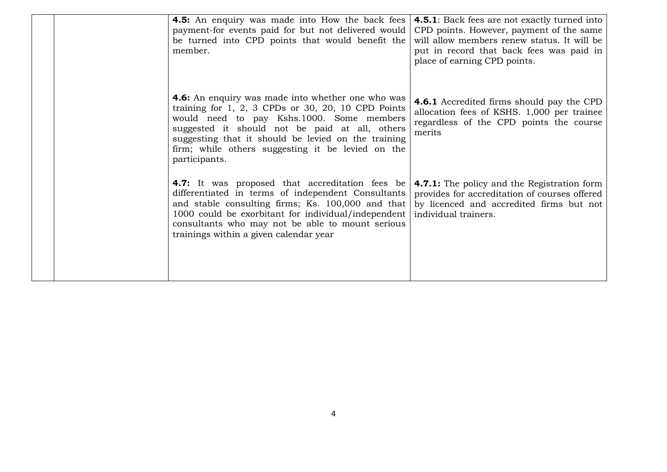|  | <b>4.5:</b> An enquiry was made into How the back fees<br>payment-for events paid for but not delivered would<br>be turned into CPD points that would benefit the<br>member.                                                                                                                                                                                  | <b>4.5.1</b> : Back fees are not exactly turned into<br>CPD points. However, payment of the same<br>will allow members renew status. It will be<br>put in record that back fees was paid in<br>place of earning CPD points. |
|--|---------------------------------------------------------------------------------------------------------------------------------------------------------------------------------------------------------------------------------------------------------------------------------------------------------------------------------------------------------------|-----------------------------------------------------------------------------------------------------------------------------------------------------------------------------------------------------------------------------|
|  | <b>4.6:</b> An enquiry was made into whether one who was<br>training for $1, 2, 3$ CPDs or $30, 20, 10$ CPD Points<br>would need to pay Kshs.1000. Some members<br>suggested it should not be paid at all, others<br>suggesting that it should be levied on the training<br>firm; while others suggesting it be levied on the<br>participants.                | <b>4.6.1</b> Accredited firms should pay the CPD<br>allocation fees of KSHS. 1,000 per trainee<br>regardless of the CPD points the course<br>merits                                                                         |
|  | 4.7: It was proposed that accreditation fees be   4.7.1: The policy and the Registration form<br>differentiated in terms of independent Consultants<br>and stable consulting firms; Ks. 100,000 and that<br>1000 could be exorbitant for individual/independent<br>consultants who may not be able to mount serious<br>trainings within a given calendar year | provides for accreditation of courses offered<br>by licenced and accredited firms but not<br>individual trainers.                                                                                                           |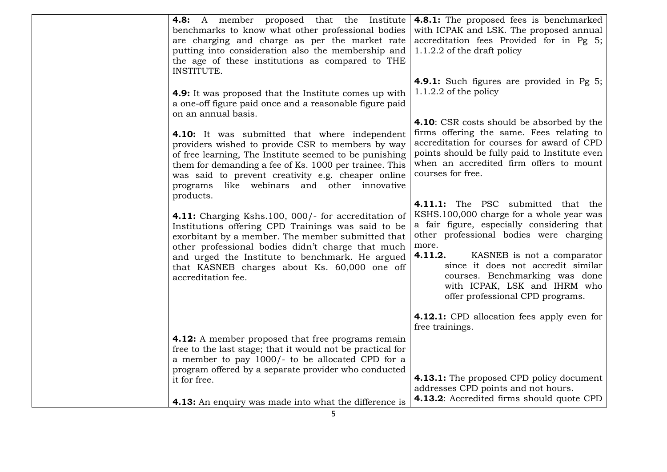| <b>4.8:</b> A member proposed that the Institute<br>benchmarks to know what other professional bodies<br>are charging and charge as per the market rate<br>putting into consideration also the membership and<br>the age of these institutions as compared to THE<br>INSTITUTE.                                                                           | <b>4.8.1:</b> The proposed fees is benchmarked<br>with ICPAK and LSK. The proposed annual<br>accreditation fees Provided for in Pg 5;<br>$1.1.2.2$ of the draft policy                                                                                                                                                                                                |
|-----------------------------------------------------------------------------------------------------------------------------------------------------------------------------------------------------------------------------------------------------------------------------------------------------------------------------------------------------------|-----------------------------------------------------------------------------------------------------------------------------------------------------------------------------------------------------------------------------------------------------------------------------------------------------------------------------------------------------------------------|
| <b>4.9:</b> It was proposed that the Institute comes up with<br>a one-off figure paid once and a reasonable figure paid<br>on an annual basis.                                                                                                                                                                                                            | <b>4.9.1:</b> Such figures are provided in Pg 5;<br>1.1.2.2 of the policy                                                                                                                                                                                                                                                                                             |
| <b>4.10:</b> It was submitted that where independent<br>providers wished to provide CSR to members by way<br>of free learning, The Institute seemed to be punishing<br>them for demanding a fee of Ks. 1000 per trainee. This<br>was said to prevent creativity e.g. cheaper online<br>like webinars and other innovative<br>programs                     | 4.10: CSR costs should be absorbed by the<br>firms offering the same. Fees relating to<br>accreditation for courses for award of CPD<br>points should be fully paid to Institute even<br>when an accredited firm offers to mount<br>courses for free.                                                                                                                 |
| products.<br>4.11: Charging Kshs.100, 000/- for accreditation of<br>Institutions offering CPD Trainings was said to be<br>exorbitant by a member. The member submitted that<br>other professional bodies didn't charge that much<br>and urged the Institute to benchmark. He argued<br>that KASNEB charges about Ks. 60,000 one off<br>accreditation fee. | 4.11.1: The PSC submitted that the<br>KSHS.100,000 charge for a whole year was<br>a fair figure, especially considering that<br>other professional bodies were charging<br>more.<br>4.11.2.<br>KASNEB is not a comparator<br>since it does not accredit similar<br>courses. Benchmarking was done<br>with ICPAK, LSK and IHRM who<br>offer professional CPD programs. |
| <b>4.12:</b> A member proposed that free programs remain<br>free to the last stage; that it would not be practical for<br>a member to pay 1000/- to be allocated CPD for a<br>program offered by a separate provider who conducted<br>it for free.<br><b>4.13:</b> An enquiry was made into what the difference is                                        | 4.12.1: CPD allocation fees apply even for<br>free trainings.<br>4.13.1: The proposed CPD policy document<br>addresses CPD points and not hours.<br>4.13.2: Accredited firms should quote CPD                                                                                                                                                                         |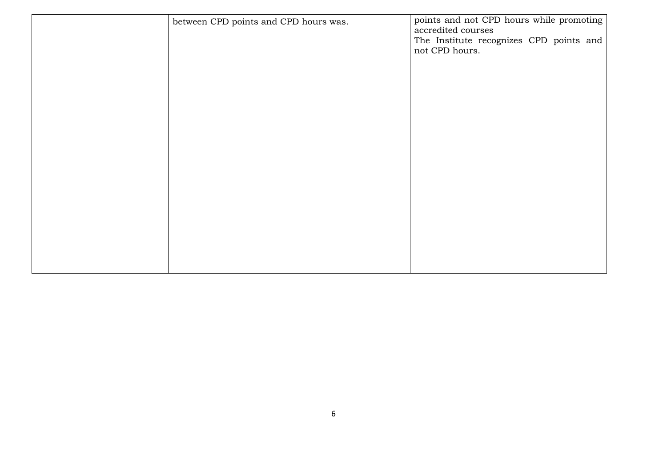|  | between CPD points and CPD hours was. | points and not CPD hours while promoting<br>accredited courses<br>The Institute recognizes CPD points and |
|--|---------------------------------------|-----------------------------------------------------------------------------------------------------------|
|  |                                       | not CPD hours.                                                                                            |
|  |                                       |                                                                                                           |
|  |                                       |                                                                                                           |
|  |                                       |                                                                                                           |
|  |                                       |                                                                                                           |
|  |                                       |                                                                                                           |
|  |                                       |                                                                                                           |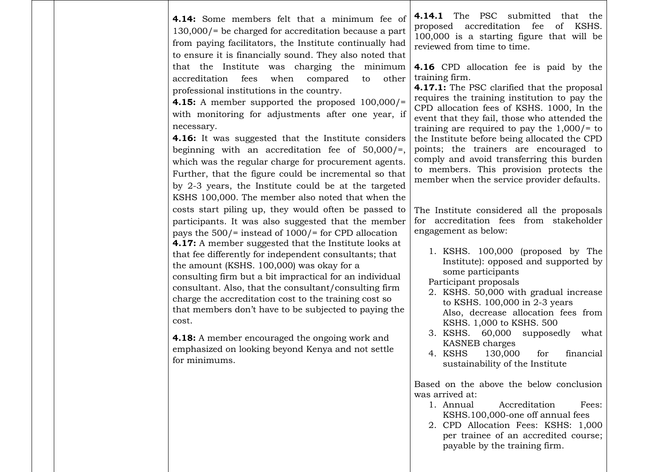| <b>4.14:</b> Some members felt that a minimum fee of<br>$130,000$ = be charged for accreditation because a part<br>from paying facilitators, the Institute continually had<br>to ensure it is financially sound. They also noted that                                                                                                                                                                                                                                                                                                                                                                                             | The PSC submitted that the<br>4.14.1<br>proposed accreditation fee of KSHS.<br>100,000 is a starting figure that will be<br>reviewed from time to time.                                                                                                                                                                                                                                                                                                                                                                                       |  |
|-----------------------------------------------------------------------------------------------------------------------------------------------------------------------------------------------------------------------------------------------------------------------------------------------------------------------------------------------------------------------------------------------------------------------------------------------------------------------------------------------------------------------------------------------------------------------------------------------------------------------------------|-----------------------------------------------------------------------------------------------------------------------------------------------------------------------------------------------------------------------------------------------------------------------------------------------------------------------------------------------------------------------------------------------------------------------------------------------------------------------------------------------------------------------------------------------|--|
| that the Institute was charging the minimum<br>fees<br>accreditation<br>when<br>other<br>compared<br>to<br>professional institutions in the country.<br><b>4.15:</b> A member supported the proposed $100,000/$ =<br>with monitoring for adjustments after one year, if<br>necessary.<br>4.16: It was suggested that the Institute considers<br>beginning with an accreditation fee of $50,000/$ =,<br>which was the regular charge for procurement agents.<br>Further, that the figure could be incremental so that<br>by 2-3 years, the Institute could be at the targeted<br>KSHS 100,000. The member also noted that when the | <b>4.16</b> CPD allocation fee is paid by the<br>training firm.<br>4.17.1: The PSC clarified that the proposal<br>requires the training institution to pay the<br>CPD allocation fees of KSHS. 1000, In the<br>event that they fail, those who attended the<br>training are required to pay the $1,000$ /= to<br>the Institute before being allocated the CPD<br>points; the trainers are encouraged to<br>comply and avoid transferring this burden<br>to members. This provision protects the<br>member when the service provider defaults. |  |
| costs start piling up, they would often be passed to<br>participants. It was also suggested that the member<br>pays the $500$ /= instead of $1000$ /= for CPD allocation<br><b>4.17:</b> A member suggested that the Institute looks at<br>that fee differently for independent consultants; that<br>the amount (KSHS. 100,000) was okay for a<br>consulting firm but a bit impractical for an individual<br>consultant. Also, that the consultant/consulting firm<br>charge the accreditation cost to the training cost so<br>that members don't have to be subjected to paying the<br>cost.                                     | The Institute considered all the proposals<br>for accreditation fees from stakeholder<br>engagement as below:<br>1. KSHS. 100,000 (proposed by The<br>Institute): opposed and supported by<br>some participants<br>Participant proposals<br>2. KSHS. 50,000 with gradual increase<br>to KSHS. 100,000 in 2-3 years<br>Also, decrease allocation fees from<br>KSHS. 1,000 to KSHS. 500                                                                                                                                                         |  |
| <b>4.18:</b> A member encouraged the ongoing work and<br>emphasized on looking beyond Kenya and not settle<br>for minimums.                                                                                                                                                                                                                                                                                                                                                                                                                                                                                                       | 3. KSHS.<br>60,000<br>supposedly<br>what<br>KASNEB charges<br>4. KSHS<br>130,000<br>for<br>financial<br>sustainability of the Institute                                                                                                                                                                                                                                                                                                                                                                                                       |  |
|                                                                                                                                                                                                                                                                                                                                                                                                                                                                                                                                                                                                                                   | Based on the above the below conclusion<br>was arrived at:<br>Accreditation<br>1. Annual<br>Fees:<br>KSHS.100,000-one off annual fees<br>2. CPD Allocation Fees: KSHS: 1,000<br>per trainee of an accredited course;                                                                                                                                                                                                                                                                                                                          |  |

 $\overline{\phantom{a}}$ 

payable by the training firm.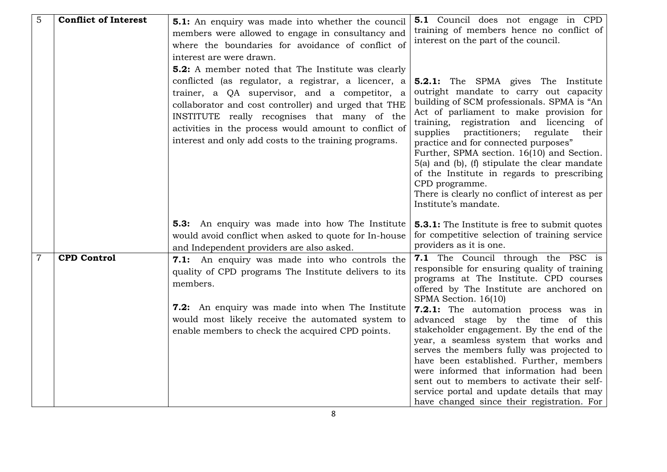| $\overline{5}$ | <b>Conflict of Interest</b> | <b>5.1:</b> An enquiry was made into whether the council<br>members were allowed to engage in consultancy and<br>where the boundaries for avoidance of conflict of<br>interest are were drawn.<br><b>5.2:</b> A member noted that The Institute was clearly                                                                     | <b>5.1</b> Council does not engage in CPD<br>training of members hence no conflict of<br>interest on the part of the council.                                                                                                                                                                                                                                                                                                                                                                                                                                     |
|----------------|-----------------------------|---------------------------------------------------------------------------------------------------------------------------------------------------------------------------------------------------------------------------------------------------------------------------------------------------------------------------------|-------------------------------------------------------------------------------------------------------------------------------------------------------------------------------------------------------------------------------------------------------------------------------------------------------------------------------------------------------------------------------------------------------------------------------------------------------------------------------------------------------------------------------------------------------------------|
|                |                             | conflicted (as regulator, a registrar, a licencer, a<br>trainer, a QA supervisor, and a competitor, a<br>collaborator and cost controller) and urged that THE<br>INSTITUTE really recognises that many of the<br>activities in the process would amount to conflict of<br>interest and only add costs to the training programs. | <b>5.2.1:</b> The SPMA gives The Institute<br>outright mandate to carry out capacity<br>building of SCM professionals. SPMA is "An<br>Act of parliament to make provision for<br>training, registration and licencing of<br>supplies<br>practitioners; regulate<br>their<br>practice and for connected purposes"<br>Further, SPMA section. 16(10) and Section.<br>$5(a)$ and $(b)$ , $(f)$ stipulate the clear mandate<br>of the Institute in regards to prescribing<br>CPD programme.<br>There is clearly no conflict of interest as per<br>Institute's mandate. |
|                |                             | <b>5.3:</b> An enquiry was made into how The Institute<br>would avoid conflict when asked to quote for In-house<br>and Independent providers are also asked.                                                                                                                                                                    | <b>5.3.1:</b> The Institute is free to submit quotes<br>for competitive selection of training service<br>providers as it is one.                                                                                                                                                                                                                                                                                                                                                                                                                                  |
| $\overline{7}$ | <b>CPD Control</b>          | 7.1: An enquiry was made into who controls the<br>quality of CPD programs The Institute delivers to its<br>members.                                                                                                                                                                                                             | <b>7.1</b> The Council through the PSC is<br>responsible for ensuring quality of training<br>programs at The Institute. CPD courses<br>offered by The Institute are anchored on<br>SPMA Section. 16(10)                                                                                                                                                                                                                                                                                                                                                           |
|                |                             | 7.2: An enquiry was made into when The Institute<br>would most likely receive the automated system to<br>enable members to check the acquired CPD points.                                                                                                                                                                       | <b>7.2.1:</b> The automation process was in<br>advanced stage by the time of this<br>stakeholder engagement. By the end of the<br>year, a seamless system that works and<br>serves the members fully was projected to<br>have been established. Further, members<br>were informed that information had been<br>sent out to members to activate their self-<br>service portal and update details that may<br>have changed since their registration. For                                                                                                            |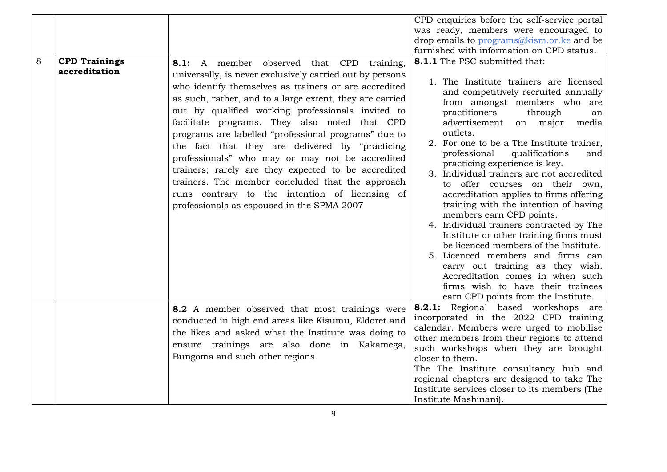|   |                      |                                                                                                                                                                                                                                                                                                                                                                                                                                                                                                                                                                                                                                                              | CPD enquiries before the self-service portal                                                                                                                                                                                                                                                                                                                                                                                                                                                                                                                                                                                                                                                                                                                                                                 |
|---|----------------------|--------------------------------------------------------------------------------------------------------------------------------------------------------------------------------------------------------------------------------------------------------------------------------------------------------------------------------------------------------------------------------------------------------------------------------------------------------------------------------------------------------------------------------------------------------------------------------------------------------------------------------------------------------------|--------------------------------------------------------------------------------------------------------------------------------------------------------------------------------------------------------------------------------------------------------------------------------------------------------------------------------------------------------------------------------------------------------------------------------------------------------------------------------------------------------------------------------------------------------------------------------------------------------------------------------------------------------------------------------------------------------------------------------------------------------------------------------------------------------------|
|   |                      |                                                                                                                                                                                                                                                                                                                                                                                                                                                                                                                                                                                                                                                              | was ready, members were encouraged to                                                                                                                                                                                                                                                                                                                                                                                                                                                                                                                                                                                                                                                                                                                                                                        |
|   |                      |                                                                                                                                                                                                                                                                                                                                                                                                                                                                                                                                                                                                                                                              | drop emails to programs@kism.or.ke and be                                                                                                                                                                                                                                                                                                                                                                                                                                                                                                                                                                                                                                                                                                                                                                    |
|   |                      |                                                                                                                                                                                                                                                                                                                                                                                                                                                                                                                                                                                                                                                              | furnished with information on CPD status.                                                                                                                                                                                                                                                                                                                                                                                                                                                                                                                                                                                                                                                                                                                                                                    |
| 8 | <b>CPD Trainings</b> | 8.1: A member observed that CPD training,                                                                                                                                                                                                                                                                                                                                                                                                                                                                                                                                                                                                                    | <b>8.1.1</b> The PSC submitted that:                                                                                                                                                                                                                                                                                                                                                                                                                                                                                                                                                                                                                                                                                                                                                                         |
|   | accreditation        | universally, is never exclusively carried out by persons<br>who identify themselves as trainers or are accredited<br>as such, rather, and to a large extent, they are carried<br>out by qualified working professionals invited to<br>facilitate programs. They also noted that CPD<br>programs are labelled "professional programs" due to<br>the fact that they are delivered by "practicing<br>professionals" who may or may not be accredited<br>trainers; rarely are they expected to be accredited<br>trainers. The member concluded that the approach<br>runs contrary to the intention of licensing of<br>professionals as espoused in the SPMA 2007 | 1. The Institute trainers are licensed<br>and competitively recruited annually<br>from amongst members who are<br>practitioners<br>through<br>an<br>advertisement<br>on major<br>media<br>outlets.<br>2. For one to be a The Institute trainer,<br>professional<br>qualifications<br>and<br>practicing experience is key.<br>3. Individual trainers are not accredited<br>offer courses on their own,<br>to<br>accreditation applies to firms offering<br>training with the intention of having<br>members earn CPD points.<br>4. Individual trainers contracted by The<br>Institute or other training firms must<br>be licenced members of the Institute.<br>5. Licenced members and firms can<br>carry out training as they wish.<br>Accreditation comes in when such<br>firms wish to have their trainees |
|   |                      |                                                                                                                                                                                                                                                                                                                                                                                                                                                                                                                                                                                                                                                              | earn CPD points from the Institute.<br><b>8.2.1:</b> Regional based workshops are                                                                                                                                                                                                                                                                                                                                                                                                                                                                                                                                                                                                                                                                                                                            |
|   |                      | 8.2 A member observed that most trainings were<br>conducted in high end areas like Kisumu, Eldoret and<br>the likes and asked what the Institute was doing to<br>ensure trainings are also done in Kakamega,<br>Bungoma and such other regions                                                                                                                                                                                                                                                                                                                                                                                                               | incorporated in the 2022 CPD training<br>calendar. Members were urged to mobilise<br>other members from their regions to attend<br>such workshops when they are brought<br>closer to them.<br>The The Institute consultancy hub and<br>regional chapters are designed to take The<br>Institute services closer to its members (The<br>Institute Mashinani).                                                                                                                                                                                                                                                                                                                                                                                                                                                  |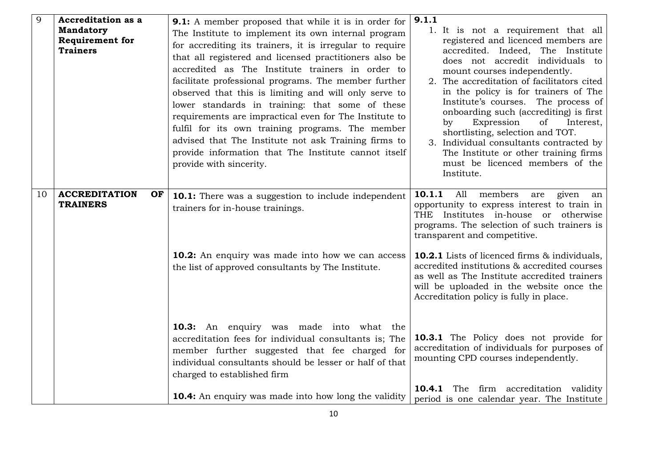| $\overline{9}$ | <b>Accreditation as a</b><br><b>Mandatory</b><br><b>Requirement for</b><br><b>Trainers</b> | <b>9.1:</b> A member proposed that while it is in order for<br>The Institute to implement its own internal program<br>for accrediting its trainers, it is irregular to require<br>that all registered and licensed practitioners also be<br>accredited as The Institute trainers in order to<br>facilitate professional programs. The member further<br>observed that this is limiting and will only serve to<br>lower standards in training: that some of these<br>requirements are impractical even for The Institute to<br>fulfil for its own training programs. The member<br>advised that The Institute not ask Training firms to<br>provide information that The Institute cannot itself<br>provide with sincerity. | 9.1.1<br>1. It is not a requirement that all<br>registered and licenced members are<br>accredited. Indeed, The Institute<br>does not accredit individuals to<br>mount courses independently.<br>2. The accreditation of facilitators cited<br>in the policy is for trainers of The<br>Institute's courses. The process of<br>onboarding such (accrediting) is first<br>Expression<br>of<br>Interest,<br>$\mathbf{b}$ v<br>shortlisting, selection and TOT.<br>3. Individual consultants contracted by<br>The Institute or other training firms<br>must be licenced members of the<br>Institute. |
|----------------|--------------------------------------------------------------------------------------------|---------------------------------------------------------------------------------------------------------------------------------------------------------------------------------------------------------------------------------------------------------------------------------------------------------------------------------------------------------------------------------------------------------------------------------------------------------------------------------------------------------------------------------------------------------------------------------------------------------------------------------------------------------------------------------------------------------------------------|-------------------------------------------------------------------------------------------------------------------------------------------------------------------------------------------------------------------------------------------------------------------------------------------------------------------------------------------------------------------------------------------------------------------------------------------------------------------------------------------------------------------------------------------------------------------------------------------------|
| 10             | <b>ACCREDITATION</b><br>OF<br><b>TRAINERS</b>                                              | <b>10.1:</b> There was a suggestion to include independent<br>trainers for in-house trainings.                                                                                                                                                                                                                                                                                                                                                                                                                                                                                                                                                                                                                            | 10.1.1<br>All<br>members<br>given<br>are<br>an<br>opportunity to express interest to train in<br>THE Institutes in-house or otherwise<br>programs. The selection of such trainers is<br>transparent and competitive.                                                                                                                                                                                                                                                                                                                                                                            |
|                |                                                                                            | <b>10.2:</b> An enquiry was made into how we can access<br>the list of approved consultants by The Institute.                                                                                                                                                                                                                                                                                                                                                                                                                                                                                                                                                                                                             | <b>10.2.1</b> Lists of licenced firms & individuals,<br>accredited institutions & accredited courses<br>as well as The Institute accredited trainers<br>will be uploaded in the website once the<br>Accreditation policy is fully in place.                                                                                                                                                                                                                                                                                                                                                     |
|                |                                                                                            | <b>10.3:</b> An enquiry was made into what the<br>accreditation fees for individual consultants is; The<br>member further suggested that fee charged for<br>individual consultants should be lesser or half of that<br>charged to established firm                                                                                                                                                                                                                                                                                                                                                                                                                                                                        | <b>10.3.1</b> The Policy does not provide for<br>accreditation of individuals for purposes of<br>mounting CPD courses independently.                                                                                                                                                                                                                                                                                                                                                                                                                                                            |
|                |                                                                                            | <b>10.4:</b> An enquiry was made into how long the validity                                                                                                                                                                                                                                                                                                                                                                                                                                                                                                                                                                                                                                                               | The firm accreditation validity<br>10.4.1<br>period is one calendar year. The Institute                                                                                                                                                                                                                                                                                                                                                                                                                                                                                                         |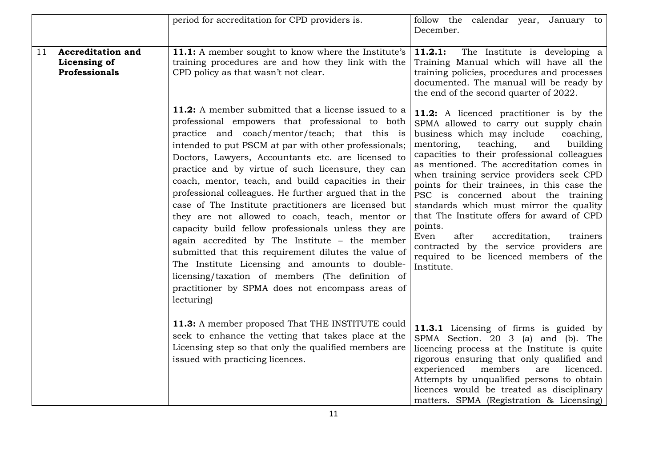|    |                                                           | period for accreditation for CPD providers is.                                                                                                                                                                                                                                                                                                                                                                                                                                                                                                                                                                                                                                                                                                                                                                                                                                                    | follow the calendar year, January to<br>December.                                                                                                                                                                                                                                                                                                                                                                                                                                                                                                                                                                                                                    |
|----|-----------------------------------------------------------|---------------------------------------------------------------------------------------------------------------------------------------------------------------------------------------------------------------------------------------------------------------------------------------------------------------------------------------------------------------------------------------------------------------------------------------------------------------------------------------------------------------------------------------------------------------------------------------------------------------------------------------------------------------------------------------------------------------------------------------------------------------------------------------------------------------------------------------------------------------------------------------------------|----------------------------------------------------------------------------------------------------------------------------------------------------------------------------------------------------------------------------------------------------------------------------------------------------------------------------------------------------------------------------------------------------------------------------------------------------------------------------------------------------------------------------------------------------------------------------------------------------------------------------------------------------------------------|
| 11 | <b>Accreditation and</b><br>Licensing of<br>Professionals | 11.1: A member sought to know where the Institute's<br>training procedures are and how they link with the<br>CPD policy as that wasn't not clear.                                                                                                                                                                                                                                                                                                                                                                                                                                                                                                                                                                                                                                                                                                                                                 | 11.2.1:<br>The Institute is developing a<br>Training Manual which will have all the<br>training policies, procedures and processes<br>documented. The manual will be ready by<br>the end of the second quarter of 2022.                                                                                                                                                                                                                                                                                                                                                                                                                                              |
|    |                                                           | 11.2: A member submitted that a license issued to a<br>professional empowers that professional to both<br>practice and coach/mentor/teach; that this is<br>intended to put PSCM at par with other professionals;<br>Doctors, Lawyers, Accountants etc. are licensed to<br>practice and by virtue of such licensure, they can<br>coach, mentor, teach, and build capacities in their<br>professional colleagues. He further argued that in the<br>case of The Institute practitioners are licensed but<br>they are not allowed to coach, teach, mentor or<br>capacity build fellow professionals unless they are<br>again accredited by The Institute - the member<br>submitted that this requirement dilutes the value of<br>The Institute Licensing and amounts to double-<br>licensing/taxation of members (The definition of<br>practitioner by SPMA does not encompass areas of<br>lecturing) | <b>11.2:</b> A licenced practitioner is by the<br>SPMA allowed to carry out supply chain<br>business which may include<br>coaching,<br>mentoring,<br>teaching,<br>building<br>and<br>capacities to their professional colleagues<br>as mentioned. The accreditation comes in<br>when training service providers seek CPD<br>points for their trainees, in this case the<br>PSC is concerned about the training<br>standards which must mirror the quality<br>that The Institute offers for award of CPD<br>points.<br>Even<br>after<br>accreditation,<br>trainers<br>contracted by the service providers are<br>required to be licenced members of the<br>Institute. |
|    |                                                           | 11.3: A member proposed That THE INSTITUTE could<br>seek to enhance the vetting that takes place at the<br>Licensing step so that only the qualified members are<br>issued with practicing licences.                                                                                                                                                                                                                                                                                                                                                                                                                                                                                                                                                                                                                                                                                              | 11.3.1 Licensing of firms is guided by<br>SPMA Section. 20 3 (a) and (b). The<br>licencing process at the Institute is quite<br>rigorous ensuring that only qualified and<br>experienced<br>members<br>licenced.<br>are<br>Attempts by unqualified persons to obtain<br>licences would be treated as disciplinary<br>matters. SPMA (Registration & Licensing)                                                                                                                                                                                                                                                                                                        |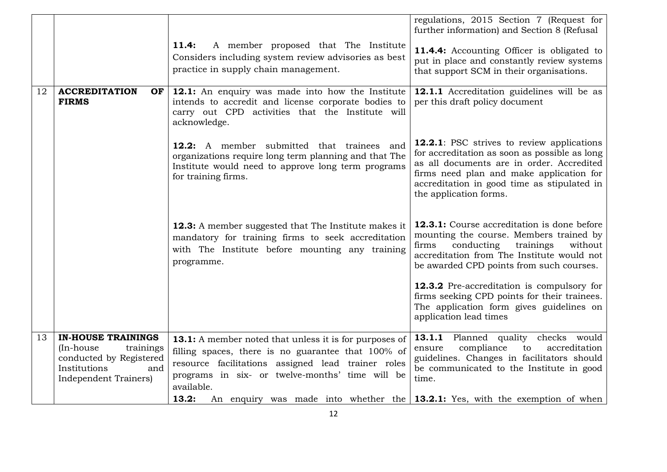|    |                                                                                                                                 |                                                                                                                                                                                                                                            | regulations, 2015 Section 7 (Request for<br>further information) and Section 8 (Refusal                                                                                                                                                                               |
|----|---------------------------------------------------------------------------------------------------------------------------------|--------------------------------------------------------------------------------------------------------------------------------------------------------------------------------------------------------------------------------------------|-----------------------------------------------------------------------------------------------------------------------------------------------------------------------------------------------------------------------------------------------------------------------|
|    |                                                                                                                                 | 11.4:<br>A member proposed that The Institute<br>Considers including system review advisories as best<br>practice in supply chain management.                                                                                              | <b>11.4.4:</b> Accounting Officer is obligated to<br>put in place and constantly review systems<br>that support SCM in their organisations.                                                                                                                           |
| 12 | <b>ACCREDITATION</b><br>OF<br><b>FIRMS</b>                                                                                      | 12.1: An enquiry was made into how the Institute<br>intends to accredit and license corporate bodies to<br>carry out CPD activities that the Institute will<br>acknowledge.                                                                | 12.1.1 Accreditation guidelines will be as<br>per this draft policy document                                                                                                                                                                                          |
|    |                                                                                                                                 | 12.2: A member submitted that trainees and<br>organizations require long term planning and that The<br>Institute would need to approve long term programs<br>for training firms.                                                           | <b>12.2.1</b> : PSC strives to review applications<br>for accreditation as soon as possible as long<br>as all documents are in order. Accredited<br>firms need plan and make application for<br>accreditation in good time as stipulated in<br>the application forms. |
|    |                                                                                                                                 | <b>12.3:</b> A member suggested that The Institute makes it<br>mandatory for training firms to seek accreditation<br>with The Institute before mounting any training<br>programme.                                                         | 12.3.1: Course accreditation is done before<br>mounting the course. Members trained by<br>conducting<br>trainings<br>without<br>firms<br>accreditation from The Institute would not<br>be awarded CPD points from such courses.                                       |
|    |                                                                                                                                 |                                                                                                                                                                                                                                            | 12.3.2 Pre-accreditation is compulsory for<br>firms seeking CPD points for their trainees.<br>The application form gives guidelines on<br>application lead times                                                                                                      |
| 13 | <b>IN-HOUSE TRAININGS</b><br>(In-house)<br>trainings<br>conducted by Registered<br>Institutions<br>and<br>Independent Trainers) | <b>13.1:</b> A member noted that unless it is for purposes of<br>filling spaces, there is no guarantee that 100% of<br>resource facilitations assigned lead trainer roles<br>programs in six- or twelve-months' time will be<br>available. | 13.1.1 Planned quality checks would<br>compliance<br>to<br>accreditation<br>ensure<br>guidelines. Changes in facilitators should<br>be communicated to the Institute in good<br>time.                                                                                 |
|    |                                                                                                                                 | 13.2:<br>An enquiry was made into whether the $13.2.1$ : Yes, with the exemption of when                                                                                                                                                   |                                                                                                                                                                                                                                                                       |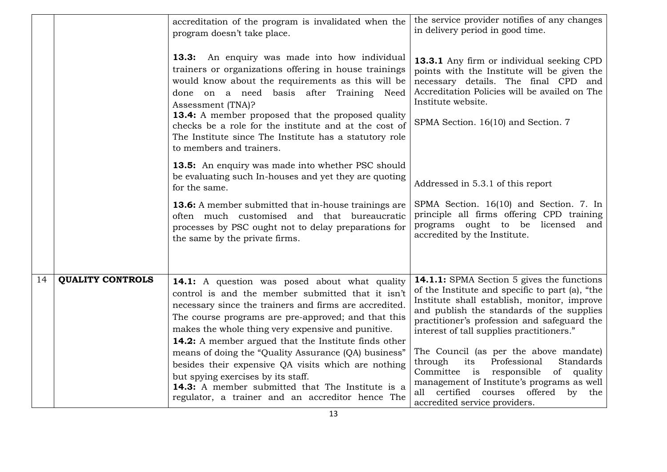|    |                         | accreditation of the program is invalidated when the<br>program doesn't take place.                                                                                                                                                                                                                                                                                                                                              | the service provider notifies of any changes<br>in delivery period in good time.                                                                                                                                                                                                      |
|----|-------------------------|----------------------------------------------------------------------------------------------------------------------------------------------------------------------------------------------------------------------------------------------------------------------------------------------------------------------------------------------------------------------------------------------------------------------------------|---------------------------------------------------------------------------------------------------------------------------------------------------------------------------------------------------------------------------------------------------------------------------------------|
|    |                         | 13.3: An enquiry was made into how individual<br>trainers or organizations offering in house trainings<br>would know about the requirements as this will be<br>done on a need basis after Training Need<br>Assessment (TNA)?<br>13.4: A member proposed that the proposed quality<br>checks be a role for the institute and at the cost of<br>The Institute since The Institute has a statutory role<br>to members and trainers. | 13.3.1 Any firm or individual seeking CPD<br>points with the Institute will be given the<br>necessary details. The final CPD and<br>Accreditation Policies will be availed on The<br>Institute website.<br>SPMA Section. 16(10) and Section. 7                                        |
|    |                         | 13.5: An enquiry was made into whether PSC should<br>be evaluating such In-houses and yet they are quoting<br>for the same.                                                                                                                                                                                                                                                                                                      | Addressed in 5.3.1 of this report                                                                                                                                                                                                                                                     |
|    |                         | <b>13.6:</b> A member submitted that in-house trainings are<br>often much customised and that bureaucratic<br>processes by PSC ought not to delay preparations for<br>the same by the private firms.                                                                                                                                                                                                                             | SPMA Section. 16(10) and Section. 7. In<br>principle all firms offering CPD training<br>programs ought to be licensed and<br>accredited by the Institute.                                                                                                                             |
| 14 | <b>QUALITY CONTROLS</b> | <b>14.1:</b> A question was posed about what quality<br>control is and the member submitted that it isn't<br>necessary since the trainers and firms are accredited.<br>The course programs are pre-approved; and that this<br>makes the whole thing very expensive and punitive.<br><b>14.2:</b> A member argued that the Institute finds other                                                                                  | 14.1.1: SPMA Section 5 gives the functions<br>of the Institute and specific to part (a), "the<br>Institute shall establish, monitor, improve<br>and publish the standards of the supplies<br>practitioner's profession and safeguard the<br>interest of tall supplies practitioners." |
|    |                         | means of doing the "Quality Assurance (QA) business"<br>besides their expensive QA visits which are nothing<br>but spying exercises by its staff.<br>14.3: A member submitted that The Institute is a<br>regulator, a trainer and an accreditor hence The                                                                                                                                                                        | The Council (as per the above mandate)<br>Professional<br>through<br>its<br>Standards<br>Committee is responsible of quality<br>management of Institute's programs as well<br>all certified courses offered<br>by the<br>accredited service providers.                                |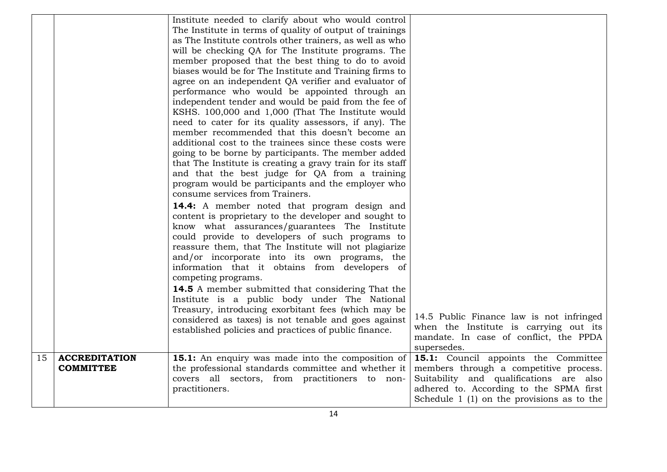|    |                                          | Institute needed to clarify about who would control<br>The Institute in terms of quality of output of trainings<br>as The Institute controls other trainers, as well as who<br>will be checking QA for The Institute programs. The<br>member proposed that the best thing to do to avoid<br>biases would be for The Institute and Training firms to<br>agree on an independent QA verifier and evaluator of<br>performance who would be appointed through an<br>independent tender and would be paid from the fee of<br>KSHS. 100,000 and 1,000 (That The Institute would<br>need to cater for its quality assessors, if any). The<br>member recommended that this doesn't become an<br>additional cost to the trainees since these costs were<br>going to be borne by participants. The member added<br>that The Institute is creating a gravy train for its staff<br>and that the best judge for QA from a training<br>program would be participants and the employer who<br>consume services from Trainers.<br><b>14.4:</b> A member noted that program design and<br>content is proprietary to the developer and sought to<br>know what assurances/guarantees The Institute<br>could provide to developers of such programs to<br>reassure them, that The Institute will not plagiarize<br>and/or incorporate into its own programs, the<br>information that it obtains from developers of<br>competing programs.<br>14.5 A member submitted that considering That the<br>Institute is a public body under The National<br>Treasury, introducing exorbitant fees (which may be<br>considered as taxes) is not tenable and goes against<br>established policies and practices of public finance. | 14.5 Public Finance law is not infringed<br>when the Institute is carrying out its<br>mandate. In case of conflict, the PPDA<br>supersedes.                                                                          |
|----|------------------------------------------|-----------------------------------------------------------------------------------------------------------------------------------------------------------------------------------------------------------------------------------------------------------------------------------------------------------------------------------------------------------------------------------------------------------------------------------------------------------------------------------------------------------------------------------------------------------------------------------------------------------------------------------------------------------------------------------------------------------------------------------------------------------------------------------------------------------------------------------------------------------------------------------------------------------------------------------------------------------------------------------------------------------------------------------------------------------------------------------------------------------------------------------------------------------------------------------------------------------------------------------------------------------------------------------------------------------------------------------------------------------------------------------------------------------------------------------------------------------------------------------------------------------------------------------------------------------------------------------------------------------------------------------------------------------------------------------------------------|----------------------------------------------------------------------------------------------------------------------------------------------------------------------------------------------------------------------|
| 15 | <b>ACCREDITATION</b><br><b>COMMITTEE</b> | <b>15.1:</b> An enquiry was made into the composition of<br>the professional standards committee and whether it<br>covers all sectors, from practitioners to non-<br>practitioners.                                                                                                                                                                                                                                                                                                                                                                                                                                                                                                                                                                                                                                                                                                                                                                                                                                                                                                                                                                                                                                                                                                                                                                                                                                                                                                                                                                                                                                                                                                                 | 15.1: Council appoints the Committee<br>members through a competitive process.<br>Suitability and qualifications are also<br>adhered to. According to the SPMA first<br>Schedule $1$ (1) on the provisions as to the |